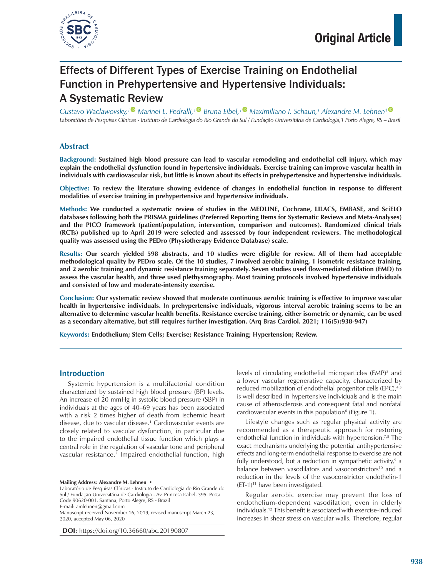

# Effects of Different Types of Exercise Training on Endothelial Function in Prehypertensive and Hypertensive Individuals: A Systematic Review

*Gustavo Waclawovsky,[1](https://orcid.org/0000-0001-7875-9939) Marinei L. Pedralli,[1](https://orcid.org/0000-0003-1148-7136) Bruna Eibel,[1](https://orcid.org/0000-0002-2077-3751) Maximiliano I. Schaun,1 Alexandre M. Lehnen[1](https://orcid.org/0000-0002-5912-8020) Laboratório de Pesquisas Clínicas - Instituto de Cardiologia do Rio Grande do Sul / Fundação Universitária de Cardiologia,1 Porto Alegre, RS – Brasil*

## **Abstract**

**Background: Sustained high blood pressure can lead to vascular remodeling and endothelial cell injury, which may explain the endothelial dysfunction found in hypertensive individuals. Exercise training can improve vascular health in individuals with cardiovascular risk, but little is known about its effects in prehypertensive and hypertensive individuals.**

**Objective: To review the literature showing evidence of changes in endothelial function in response to different modalities of exercise training in prehypertensive and hypertensive individuals.**

**Methods: We conducted a systematic review of studies in the MEDLINE, Cochrane, LILACS, EMBASE, and SciELO databases following both the PRISMA guidelines (Preferred Reporting Items for Systematic Reviews and Meta-Analyses) and the PICO framework (patient/population, intervention, comparison and outcomes). Randomized clinical trials (RCTs) published up to April 2019 were selected and assessed by four independent reviewers. The methodological quality was assessed using the PEDro (Physiotherapy Evidence Database) scale.**

**Results: Our search yielded 598 abstracts, and 10 studies were eligible for review. All of them had acceptable methodological quality by PEDro scale. Of the 10 studies, 7 involved aerobic training, 1 isometric resistance training, and 2 aerobic training and dynamic resistance training separately. Seven studies used flow-mediated dilation (FMD) to assess the vascular health, and three used plethysmography. Most training protocols involved hypertensive individuals and consisted of low and moderate-intensity exercise.**

**Conclusion: Our systematic review showed that moderate continuous aerobic training is effective to improve vascular health in hypertensive individuals. In prehypertensive individuals, vigorous interval aerobic training seems to be an alternative to determine vascular health benefits. Resistance exercise training, either isometric or dynamic, can be used as a secondary alternative, but still requires further investigation. (Arq Bras Cardiol. 2021; 116(5):938-947)**

**Keywords: Endothelium; Stem Cells; Exercise; Resistance Training; Hypertension; Review.**

## Introduction

Systemic hypertension is a multifactorial condition characterized by sustained high blood pressure (BP) levels. An increase of 20 mmHg in systolic blood pressure (SBP) in individuals at the ages of 40–69 years has been associated with a risk 2 times higher of death from ischemic heart disease, due to vascular disease.1 Cardiovascular events are closely related to vascular dysfunction, in particular due to the impaired endothelial tissue function which plays a central role in the regulation of vascular tone and peripheral vascular resistance.<sup>2</sup> Impaired endothelial function, high

Laboratório de Pesquisas Clínicas - Instituto de Cardiologia do Rio Grande do Sul / Fundação Universitária de Cardiologia - Av. Princesa Isabel, 395. Postal Code 90620-001, Santana, Porto Alegre, RS - Brazil E-mail: [amlehnen@gmail.com](mailto:amlehnen@gmail.com) Manuscript received November 16, 2019, revised manuscript March 23, 2020, accepted May 06, 2020

**DOI:** https://doi.org/10.36660/abc.20190807

levels of circulating endothelial microparticles (EMP)<sup>3</sup> and a lower vascular regenerative capacity, characterized by reduced mobilization of endothelial progenitor cells (EPC),<sup>4,5</sup> is well described in hypertensive individuals and is the main cause of atherosclerosis and consequent fatal and nonfatal cardiovascular events in this population<sup>6</sup> (Figure 1).

Lifestyle changes such as regular physical activity are recommended as a therapeutic approach for restoring endothelial function in individuals with hypertension.<sup>7,8</sup> The exact mechanisms underlying the potential antihypertensive effects and long-term endothelial response to exercise are not fully understood, but a reduction in sympathetic activity,<sup>9</sup> a balance between vasodilators and vasoconstrictors<sup>10</sup> and a reduction in the levels of the vasoconstrictor endothelin-1  $(ET-1)^{11}$  have been investigated.

Regular aerobic exercise may prevent the loss of endothelium-dependent vasodilation, even in elderly individuals.12 This benefit is associated with exercise-induced increases in shear stress on vascular walls. Therefore, regular

**Mailing Address: Alexandre M. Lehnen** •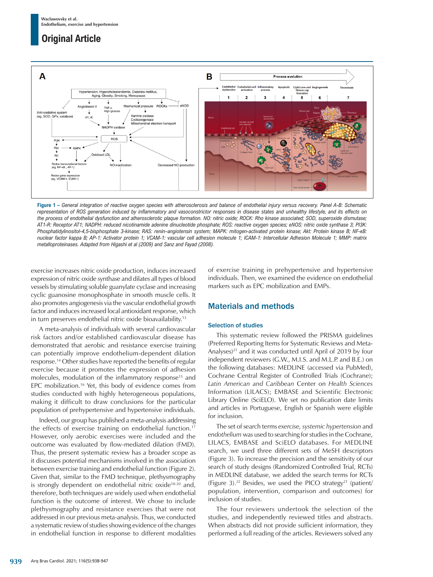

**Figure 1 –** *General integration of reactive oxygen species with atherosclerosis and balance of endothelial injury versus recovery. Panel A-B: Schematic representation of ROS generation induced by inflammatory and vasoconstrictor responses in disease states and unhealthy lifestyle, and its effects on the process of endothelial dysfunction and atherosclerotic plaque formation. NO: nitric oxide; ROCK: Rho kinase associated; SOD, superoxide dismutase; AT1-R: Receptor AT1; NADPH: reduced nicotinamide adenine dinucleotide phosphate; ROS: reactive oxygen species; eNOS: nitric oxide synthase 3; PI3K: Phosphatidylinositol-4,5-bisphosphate 3-kinase; RAS: renin–angiotensin system; MAPK: mitogen-activated protein kinase; Akt: Protein kinase B; NF-κB: nuclear factor kappa B; AP-1: Activator protein 1; VCAM-1: vascular cell adhesion molecule 1; ICAM-1: [Intercellular Adhesion Molecule](https://en.wikipedia.org/wiki/Intercellular_adhesion_molecule) 1; MMP: matrix [metalloproteinases.](https://en.wikipedia.org/wiki/Metalloproteinase) Adapted from Higashi et al (2009) and Sanz and Fayad (2008).*

exercise increases nitric oxide production, induces increased expression of nitric oxide synthase and dilates all types of blood vessels by stimulating soluble guanylate cyclase and increasing cyclic guanosine monophosphate in smooth muscle cells. It also promotes angiogenesis via the vascular endothelial growth factor and induces increased local antioxidant response, which in turn preserves endothelial nitric oxide bioavailability.<sup>13</sup>

A meta-analysis of individuals with several cardiovascular risk factors and/or established cardiovascular disease has demonstrated that aerobic and resistance exercise training can potentially improve endothelium-dependent dilation response.14 Other studies have reported the benefits of regular exercise because it promotes the expression of adhesion molecules, modulation of the inflammatory response<sup>15</sup> and EPC mobilization.16 Yet, this body of evidence comes from studies conducted with highly heterogeneous populations, making it difficult to draw conclusions for the particular population of prehypertensive and hypertensive individuals.

Indeed, our group has published a meta-analysis addressing the effects of exercise training on endothelial function.17 However, only aerobic exercises were included and the outcome was evaluated by flow-mediated dilation (FMD). Thus, the present systematic review has a broader scope as it discusses potential mechanisms involved in the association between exercise training and endothelial function (Figure 2). Given that, similar to the FMD technique, plethysmography is strongly dependent on endothelial nitric oxide<sup>18-20</sup> and, therefore, both techniques are widely used when endothelial function is the outcome of interest. We chose to include plethysmography and resistance exercises that were not addressed in our previous meta-analysis. Thus, we conducted a systematic review of studies showing evidence of the changes in endothelial function in response to different modalities of exercise training in prehypertensive and hypertensive individuals. Then, we examined the evidence on endothelial markers such as EPC mobilization and EMPs.

## Materials and methods

## Selection of studies

This systematic review followed the PRISMA guidelines (Preferred Reporting Items for Systematic Reviews and Meta-Analyses)<sup>21</sup> and it was conducted until April of 2019 by four independent reviewers (G.W., M.I.S. and M.L.P. and B.E.) on the following databases: MEDLINE (accessed via PubMed), Cochrane Central Register of Controlled Trials (Cochrane); *Latin American and Caribbean* Center on *Health Sciences*  Information (LILACS); EMBASE and Scientific Electronic Library Online (SciELO). We set no publication date limits and articles in Portuguese, English or Spanish were eligible for inclusion.

The set of search terms *exercise, systemic hypertension* and *endothelium* was used to searching for studies in the Cochrane, LILACS, EMBASE and SciELO databases. For MEDLINE search, we used three different sets of MeSH descriptors (Figure 3). To increase the precision and the sensitivity of our search of study designs (Randomized Controlled Trial, RCTs) in MEDLINE database, we added the search terms for RCTs (Figure 3).<sup>22</sup> Besides, we used the PICO strategy<sup>21</sup> (patient/ population, intervention, comparison and outcomes) for inclusion of studies.

The four reviewers undertook the selection of the studies, and independently reviewed titles and abstracts. When abstracts did not provide sufficient information, they performed a full reading of the articles. Reviewers solved any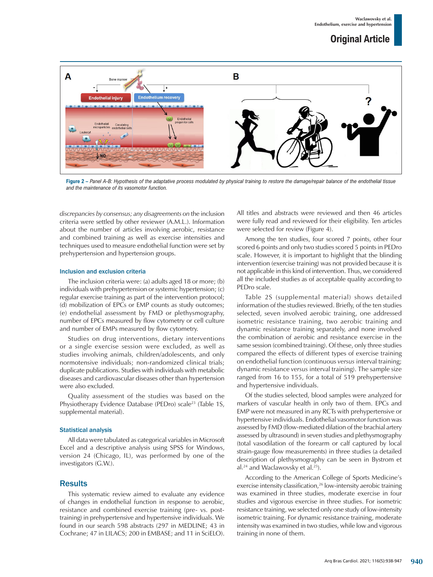

**Figure 2 –** *Panel A-B: Hypothesis of the adaptative process modulated by physical training to restore the damage/repair balance of the endothelial tissue and the maintenance of its vasomotor function.*

*discrepancies by consensus; any disagreements on* the inclusion criteria were settled by other reviewer (A.M.L.). Information about the number of articles involving aerobic, resistance and combined training as well as exercise intensities and techniques used to measure endothelial function were set by prehypertension and hypertension groups.

#### Inclusion and exclusion criteria

The inclusion criteria were: (a) adults aged 18 or more; (b) individuals with prehypertension or systemic hypertension; (c) regular exercise training as part of the intervention protocol; (d) mobilization of EPCs or EMP counts as study outcomes; (e) endothelial assessment by FMD or plethysmography, number of EPCs measured by flow cytometry or cell culture and number of EMPs measured by flow cytometry.

Studies on drug interventions, dietary interventions or a single exercise session were excluded, as well as studies involving animals, children/adolescents, and only normotensive individuals; non-randomized clinical trials; duplicate publications. Studies with individuals with metabolic diseases and cardiovascular diseases other than hypertension were also excluded.

Quality assessment of the studies was based on the Physiotherapy Evidence Database (PEDro) scale<sup>23</sup> (Table 1S, supplemental material).

#### Statistical analysis

All data were tabulated as categorical variables in Microsoft Excel and a descriptive analysis using SPSS for Windows, version 24 (Chicago, IL), was performed by one of the investigators (G.W.).

## **Results**

This systematic review aimed to evaluate any evidence of changes in endothelial function in response to aerobic, resistance and combined exercise training (pre- vs. posttraining) in prehypertensive and hypertensive individuals. We found in our search 598 abstracts (297 in MEDLINE; 43 in Cochrane; 47 in LILACS; 200 in EMBASE; and 11 in SciELO). All titles and abstracts were reviewed and then 46 articles were fully read and reviewed for their eligibility. Ten articles were selected for review (Figure 4).

Among the ten studies, four scored 7 points, other four scored 6 points and only two studies scored 5 points in PEDro scale. However, it is important to highlight that the blinding intervention (exercise training) was not provided because it is not applicable in this kind of intervention. Thus, we considered all the included studies as of acceptable quality according to PEDro scale.

Table 2S (supplemental material) shows detailed information of the studies reviewed. Briefly, of the ten studies selected, seven involved aerobic training, one addressed isometric resistance training, two aerobic training and dynamic resistance training separately, and none involved the combination of aerobic and resistance exercise in the same session (combined training). Of these, only three studies compared the effects of different types of exercise training on endothelial function (continuous *versus* interval training; dynamic resistance *versus* interval training). The sample size ranged from 16 to 155, for a total of 519 prehypertensive and hypertensive individuals.

Of the studies selected, blood samples were analyzed for markers of vascular health in only two of them. EPCs and EMP were not measured in any RCTs with prehypertensive or hypertensive individuals. Endothelial vasomotor function was assessed by FMD (flow-mediated dilation of the brachial artery assessed by ultrasound) in seven studies and plethysmography (total vasodilation of the forearm or calf captured by local strain-gauge flow measurements) in three studies (a detailed description of plethysmography can be seen in Bystrom et al.<sup>24</sup> and Waclawovsky et al.<sup>25</sup>).

According to the American College of Sports Medicine's exercise intensity classification,<sup>26</sup> low-intensity aerobic training was examined in three studies, moderate exercise in four studies and vigorous exercise in three studies. For isometric resistance training, we selected only one study of low-intensity isometric training. For dynamic resistance training, moderate intensity was examined in two studies, while low and vigorous training in none of them.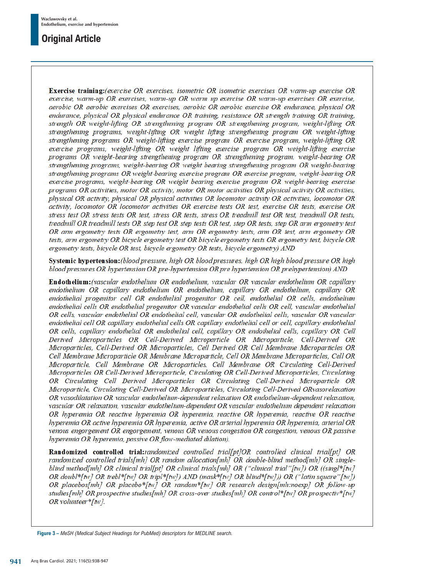**Exercise training:**(exercise OR exercises, isometric OR isometric exercises OR warm-up exercise OR exercise, warm-up OR exercises, warm-up OR warm up exercise OR warm-up exercises OR exercise, aerobic OR aerobic exercises OR exercises, aerobic OR aerobic exercise OR endurance, physical OR endurance, physical OR physical endurance OR training, resistance OR strength training OR training, strength OR weight-lifting OR strengthening program OR strengthening program, weight-lifting OR strengthening programs, weight-lifting OR weight lifting strengthening program OR weight-lifting strengthening programs OR weight-lifting exercise program OR exercise program, weight-lifting OR exercise programs, weight-lifting OR weight lifting exercise program OR weight-lifting exercise programs OR weight-bearing strengthening program OR strengthening program, weight-bearing OR strengthening programs, weight-bearing OR weight bearing strengthening program OR weight-bearing strengthening programs OR weight-bearing exercise program OR exercise program, weight-bearing OR exercise programs, weight-bearing OR weight bearing exercise program OR weight-bearing exercise programs OR activities, motor OR activity, motor OR motor activities OR physical activity OR activities, physical OR activity, physical OR physical activities OR locomotor activity OR activities, locomotor OR activity, locomotor OR locomotor activities OR exercise tests OR test, exercise OR tests, exercise OR stress test OR stress tests OR test, stress OR tests, stress OR treadmill test OR test, treadmill OR tests, treadmill OR treadmill tests OR step test OR step tests OR test, step OR tests, step OR arm ergometry test OR arm ergometry tests OR ergometry test, arm OR ergometry tests, arm OR test, arm ergometry OR tests, arm ergometry OR bicycle ergometry test OR bicycle ergometry tests OR ergometry test, bicycle OR ergometry tests, bicycle OR test, bicycle ergometry OR tests, bicycle ergometry) AND

Systemic hypertension: (blood pressure, high OR blood pressures, high OR high blood pressure OR high blood pressures OR hypertension OR pre-hypertension OR pre hypertension OR prehypertension) AND

Endothelium: (vascular endothelium OR endothelium, vascular OR vascular endothelium OR capillary endothelium OR capillary endothelium OR endothelium, capillary OR endothelium, capillary OR endothelial progenitor cell OR endothelial progenitor OR cell, endothelial OR cells, endothelium endothelial cells OR endothelial progenitor OR vascular endothelial cells OR cell, vascular endothelial OR cells, vascular endothelial OR endothelial cell, vascular OR endothelial cells, vascular OR vascular endothelial cell OR capillary endothelial cells OR capillary endothelial cell or cell, capillary endothelial OR cells, capillary endothelial OR endothelial cell, capillary OR endothelial cells, capillary OR Cell Derived Microparticles OR Cell-Derived Microparticle OR Microparticle, Cell-Derived OR Microparticles, Cell-Derived OR Microparticles, Cell Derived OR Cell Membrane Microparticles OR Cell Membrane Microparticle OR Membrane Microparticle, Cell OR Membrane Microparticles, Cell OR Microparticle, Cell Membrane OR Microparticles, Cell Membrane OR Circulating Cell-Derived Microparticles OR Cell-Derived Microparticle, Circulating OR Cell-Derived Microparticles, Circulating OR Circulating Cell Derived Microparticles OR Circulating Cell-Derived Microparticle OR Microparticle, Circulating Cell-Derived OR Microparticles, Circulating Cell-Derived ORvasorelaxation OR vasodilatation OR vascular endothelium-dependent relaxation OR endothelium-dependent relaxation, vascular OR relaxation, vascular endothelium-dependent OR vascular endothelium dependent relaxation OR Inperemia OR reactive Inperemia OR Inperemia, reactive OR Inperemia, reactive OR reactive Inyperemia OR active Inyperemia OR Inyperemia, active OR arterial Inyperemia OR Inyperemia, arterial OR venous engorgement OR engorgement, venous OR venous congestion OR congestion, venous OR passive hyperemia OR hyperemia, passive OR flow-mediated dilation).

Randomized controlled trial:randomized controlled trial[pt]OR controlled clinical trial[pt] OR randomized controlled trials[mh] OR random allocation[mh] OR double-blind method[mh] OR singleblind method[mh] OR clinical trial[pt] OR clinical trials[mh] OR ("clinical trial"[tw]) OR ((singl\*[tw] OR doubl\*[tw] OR trebl\*[tw] OR tripl\*[tw]) AND (mask\*[tw] OR blind\*[tw])) OR ("latin square"[tw]) OR placebos[mh] OR placebo\*[tw] OR random\*[tw] OR research design[mh:noexp] OR follow-up studies[mh] OR prospective studies[mh] OR cross-over studies[mh] OR control\*[tw] OR prospectiv\*[tw]  $OR$  volunteer  $\frac{k}{h}$ tw].

**Figure 3 –** *MeSH (Medical Subject Headings for PubMed) descriptors for MEDLINE search.*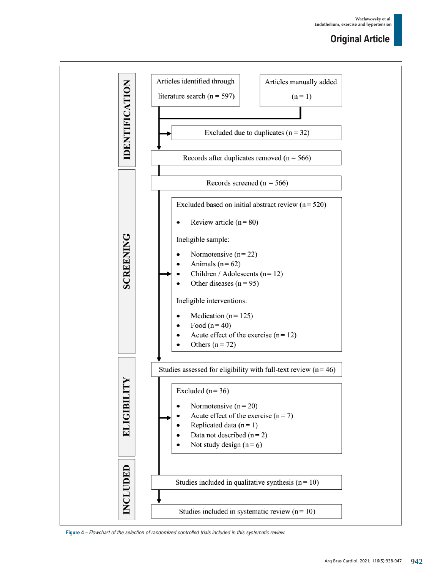

**Figure 4 –** *Flowchart of the selection of randomized controlled trials included in this systematic review.*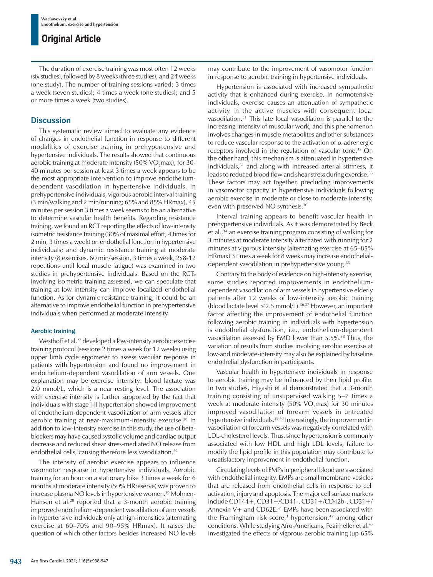The duration of exercise training was most often 12 weeks (six studies), followed by 8 weeks (three studies), and 24 weeks (one study). The number of training sessions varied: 3 times a week (seven studies); 4 times a week (one studies); and 5 or more times a week (two studies).

## **Discussion**

This systematic review aimed to evaluate any evidence of changes in endothelial function in response to different modalities of exercise training in prehypertensive and hypertensive individuals. The results showed that continuous aerobic training at moderate intensity (50% VO $_2$ max), for 30-40 minutes per session at least 3 times a week appears to be the most appropriate intervention to improve endotheliumdependent vasodilation in hypertensive individuals. In prehypertensive individuals, vigorous aerobic interval training (3 min/walking and 2 min/running; 65% and 85% HRmax), 45 minutes per session 3 times a week seems to be an alternative to determine vascular health benefits. Regarding resistance training, we found an RCT reporting the effects of low-intensity isometric resistance training (30% of maximal effort, 4 times for 2 min, 3 times a week) on endothelial function in hypertensive individuals; and dynamic resistance training at moderate intensity (8 exercises, 60 min/session, 3 times a week, 2x8-12 repetitions until local muscle fatigue) was examined in two studies in prehypertensive individuals. Based on the RCTs involving isometric training assessed, we can speculate that training at low intensity can improve localized endothelial function. As for dynamic resistance training, it could be an alternative to improve endothelial function in prehypertensive individuals when performed at moderate intensity.

## Aerobic training

Westhoff et al.<sup>27</sup> developed a low-intensity aerobic exercise training protocol (sessions 2 times a week for 12 weeks) using upper limb cycle ergometer to assess vascular response in patients with hypertension and found no improvement in endothelium-dependent vasodilation of arm vessels. One explanation may be exercise intensity: blood lactate was 2.0 mmol/L, which is a near resting level. The association with exercise intensity is further supported by the fact that individuals with stage I-II hypertension showed improvement of endothelium-dependent vasodilation of arm vessels after aerobic training at near-maximum-intensity exercise.<sup>28</sup> In addition to low-intensity exercise in this study, the use of betablockers may have caused systolic volume and cardiac output decrease and reduced shear stress-mediated NO release from endothelial cells, causing therefore less vasodilation.<sup>29</sup>

The intensity of aerobic exercise appears to influence vasomotor response in hypertensive individuals. Aerobic training for an hour on a stationary bike 3 times a week for 6 months at moderate intensity (50% HRreserve) was proven to increase plasma NO levels in hypertensive women.<sup>30</sup> Molmen-Hansen et al.<sup>28</sup> reported that a 3-month aerobic training improved endothelium-dependent vasodilation of arm vessels in hypertensive individuals only at high-intensities (alternating exercise at 60–70% and 90–95% HRmax). It raises the question of which other factors besides increased NO levels may contribute to the improvement of vasomotor function in response to aerobic training in hypertensive individuals.

Hypertension is associated with increased sympathetic activity that is enhanced during exercise. In normotensive individuals, exercise causes an attenuation of sympathetic activity in the active muscles with consequent local vasodilation.31 This late local vasodilation is parallel to the increasing intensity of muscular work, and this phenomenon involves changes in muscle metabolites and other substances to reduce vascular response to the activation of α-adrenergic receptors involved in the regulation of vascular tone.<sup>32</sup> On the other hand, this mechanism is attenuated in hypertensive individuals,<sup>31</sup> and along with increased arterial stiffness, it leads to reduced blood flow and shear stress during exercise.<sup>33</sup> These factors may act together, precluding improvements in vasomotor capacity in hypertensive individuals following aerobic exercise in moderate or close to moderate intensity, even with preserved NO synthesis.30

Interval training appears to benefit vascular health in prehypertensive individuals. As it was demonstrated by Beck et al.,34 an exercise training program consisting of walking for 3 minutes at moderate intensity alternated with running for 2 minutes at vigorous intensity (alternating exercise at 65–85% HRmax) 3 times a week for 8 weeks may increase endothelialdependent vasodilation in prehypertensive young.<sup>35</sup>

Contrary to the body of evidence on high-intensity exercise, some studies reported improvements in endotheliumdependent vasodilation of arm vessels in hypertensive elderly patients after 12 weeks of low-intensity aerobic training (blood lactate level ≤2.5 mmol/L).36,37 However, an important factor affecting the improvement of endothelial function following aerobic training in individuals with hypertension is endothelial dysfunction, i.e., endothelium-dependent vasodilation assessed by FMD lower than 5.5%.<sup>38</sup> Thus, the variation of results from studies involving aerobic exercise at low-and moderate-intensity may also be explained by baseline endothelial dysfunction in participants.

Vascular health in hypertensive individuals in response to aerobic training may be influenced by their lipid profile. In two studies, Higashi et al demonstrated that a 3-month training consisting of unsupervised walking 5–7 times a week at moderate intensity (50%  $VO<sub>2</sub>$ max) for 30 minutes improved vasodilation of forearm vessels in untreated hypertensive individuals.39,40 Interestingly, the improvement in vasodilation of forearm vessels was negatively correlated with LDL-cholesterol levels. Thus, since hypertension is commonly associated with low HDL and high LDL levels, failure to modify the lipid profile in this population may contribute to unsatisfactory improvement in endothelial function.

Circulating levels of EMPs in peripheral blood are associated with endothelial integrity. EMPs are small membrane vesicles that are released from endothelial cells in response to cell activation, injury and apoptosis. The major cell surface markers include CD144+, CD31+/CD41-, CD31+/CD42b-, CD31+/ Annexin  $V+$  and CD62E.<sup>41</sup> EMPs have been associated with the Framingham risk score,<sup>3</sup> hypertension,<sup>42</sup> among other conditions. While studying Afro-Americans, Feairheller et al.<sup>43</sup> investigated the effects of vigorous aerobic training (up 65%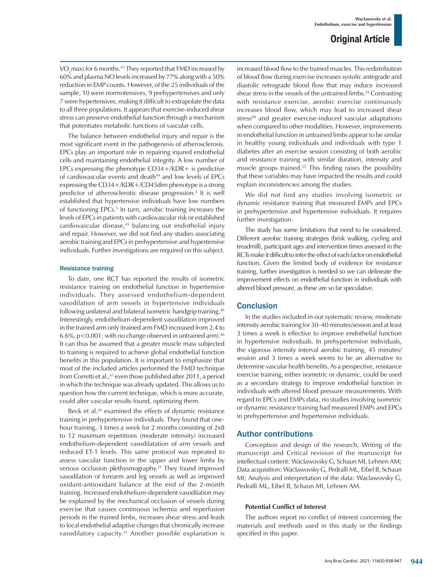VO<sub>2</sub>max) for 6 months.<sup>43</sup> They reported that FMD increased by 60% and plasma NO levels increased by 77% along with a 50% reduction in EMP counts. However, of the 25 individuals of the sample, 10 were normotensives, 9 prehypertensives and only 7 were hypertensives, making it difficult to extrapolate the data to all three populations. It appears that exercise-induced shear stress can preserve endothelial function through a mechanism that potentiates metabolic functions of vascular cells.

The balance between endothelial injury and repair is the most significant event in the pathogenesis of atherosclerosis. EPCs play an important role in repairing injured endothelial cells and maintaining endothelial integrity. A low number of EPCs expressing the phenotype  $CD34+/KDR+$  is predictive of cardiovascular events and death<sup>44</sup> and low levels of EPCs expressing the CD34+/KDR+/CD45dim phenotype is a strong predictor of atherosclerotic disease progression.4 It is well established that hypertensive individuals have low numbers of functioning EPCs.<sup>5</sup> In turn, aerobic training increases the levels of EPCs in patients with cardiovascular risk or established cardiovascular disease,<sup>45</sup> balancing out endothelial injury and repair. However, we did not find any studies associating aerobic training and EPCs in prehypertensive and hypertensive individuals. Further investigations are required on this subject.

#### Resistance training

To date, one RCT has reported the results of isometric resistance training on endothelial function in hypertensive individuals. They assessed endothelium-dependent vasodilation of arm vessels in hypertensive individuals following unilateral and bilateral isometric handgrip training.46 Interestingly, endothelium-dependent vasodilation improved in the trained arm only (trained arm FMD increased from 2.4 to 6.6%,  $p < 0.001$ ; with no change observed in untrained arm).<sup>46</sup> It can thus be assumed that a greater muscle mass subjected to training is required to achieve global endothelial function benefits in this population. It is important to emphasize that most of the included articles performed the FMD technique from Corretti et al.,<sup>47</sup> even those published after 2011, a period in which the technique was already updated. This allows us to question how the current technique, which is more accurate, could alter vascular results found, optimizing them.

Beck et al.<sup>34</sup> examined the effects of dynamic resistance training in prehypertensive individuals. They found that onehour training, 3 times a week for 2 months consisting of 2x8 to 12 maximum repetitions (moderate intensity) increased endothelium-dependent vasodilatation of arm vessels and reduced ET-1 levels. This same protocol was repeated to assess vascular function in the upper and lower limbs by venous occlusion plethysmography.35 They found improved vasodilation of forearm and leg vessels as well as improved oxidant-antioxidant balance at the end of the 2-month training. Increased endothelium-dependent vasodilation may be explained by the mechanical occlusion of vessels during exercise that causes continuous ischemia and reperfusion periods in the trained limbs, increases shear stress and leads to local endothelial adaptive changes that chronically increase vasodilatory capacity.<sup>33</sup> Another possible explanation is increased blood flow to the trained muscles. This redistribution of blood flow during exercise increases systolic antegrade and diastolic retrograde blood flow that may induce increased shear stress in the vessels of the untrained limbs.29 Contrasting with resistance exercise, aerobic exercise continuously increases blood flow, which may lead to increased shear stress<sup>48</sup> and greater exercise-induced vascular adaptations when compared to other modalities. However, improvements in endothelial function in untrained limbs appear to be similar in healthy young individuals and individuals with type 1 diabetes after an exercise session consisting of both aerobic and resistance training with similar duration, intensity and muscle groups trained.25 This finding raises the possibility that these variables may have impacted the results and could explain inconsistencies among the studies.

We did not find any studies involving isometric or dynamic resistance training that measured EMPs and EPCs in prehypertensive and hypertensive individuals. It requires further investigation.

The study has some limitations that need to be considered. Different aerobic training strategies (brisk walking, cycling and treadmill), participant ages and intervention times assessed in the RCTs make it difficult to infer the effect of each factor on endothelial function. Given the limited body of evidence for resistance training, further investigation is needed so we can delineate the improvement effects on endothelial function in individuals with altered blood pressure, as these are so far speculative.

## **Conclusion**

In the studies included in our systematic review, moderate intensity aerobic training for 30–40 minutes/session and at least 3 times a week is effective to improve endothelial function in hypertensive individuals. In prehypertensive individuals, the vigorous intensity interval aerobic training, 45 minutes/ session and 3 times a week seems to be an alternative to determine vascular health benefits. As a perspective, resistance exercise training, either isometric or dynamic, could be used as a secondary strategy to improve endothelial function in individuals with altered blood pressure measurements. With regard to EPCs and EMPs data, no studies involving isometric or dynamic resistance training had measured EMPs and EPCs in prehypertensive and hypertensive individuals.

## Author contributions

Conception and design of the research, Writing of the manuscript and Critical revision of the manuscript for intellectual content: Waclawovsky G, Schaun MI, Lehnen AM; Data acquisition: Waclawovsky G, Pedralli ML, Eibel B, Schaun MI; Analysis and interpretation of the data: Waclawovsky G, Pedralli ML, Eibel B, Schaun MI, Lehnen AM.

#### **Potential Conflict of Interest**

The authors report no conflict of interest concerning the materials and methods used in this study or the findings specified in this paper.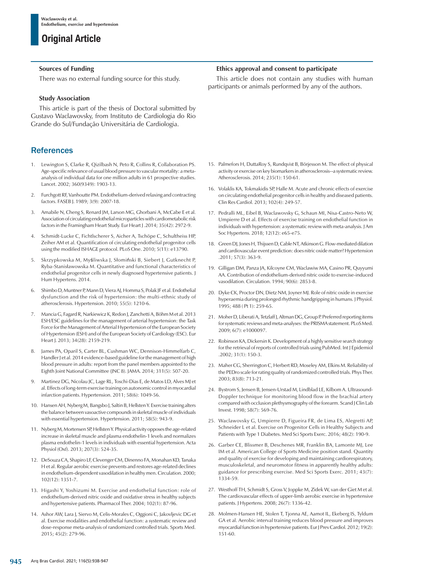### **Sources of Funding**

There was no external funding source for this study.

## **Study Association**

This article is part of the thesis of Doctoral submitted by Gustavo Waclawovsky, from Instituto de Cardiologia do Rio Grande do Sul/Fundação Universitária de Cardiologia.

## **References**

- 1. Lewington S, Clarke R, Qizilbash N, Peto R, Collins R, Collaboration PS. Age-specific relevance of usual blood pressure to vascular mortality: a metaanalysis of individual data for one million adults in 61 prospective studies. Lancet. 2002; 360(9349): 1903-13.
- 2. Furchgott RF, Vanhoutte PM. Endothelium-derived relaxing and contracting factors. FASEB J. 1989; 3(9): 2007-18.
- 3. Amabile N, Cheng S, Renard JM, Larson MG, Ghorbani A, McCabe E et al. Association of circulating endothelial microparticles with cardiometabolic risk factors in the Framingham Heart Study. Eur Heart J .2014; 35(42): 2972-9.
- 4. Schmidt-Lucke C, Fichtlscherer S, Aicher A, Tschöpe C, Schultheiss HP, Zeiher AM et al. Quantification of circulating endothelial progenitor cells using the modified ISHAGE protocol. PLoS One. 2010; 5(11): e13790.
- 5. Skrzypkowska M, Myśliwska J, Słomiński B, Siebert J, Gutknecht P, Ryba-Stanisławowska M. Quantitative and functional characteristics of endothelial progenitor cells in newly diagnosed hypertensive patients. J Hum Hypertens. 2014.
- 6. Shimbo D, Muntner P, Mann D, Viera AJ, Homma S, Polak JF et al. Endothelial dysfunction and the risk of hypertension: the multi-ethnic study of atherosclerosis. Hypertension. 2010; 55(5): 1210-6.
- 7. Mancia G, Fagard R, Narkiewicz K, Redon J, Zanchetti A, Böhm M et al. 2013 ESH/ESC guidelines for the management of arterial hypertension: the Task Force for the Management of Arterial Hypertension of the European Society of Hypertension (ESH) and of the European Society of Cardiology (ESC). Eur Heart J. 2013; 34(28): 2159-219.
- James PA, Oparil S, Carter BL, Cushman WC, Dennison-Himmelfarb C, Handler J et al. 2014 evidence-based guideline for the management of high blood pressure in adults: report from the panel members appointed to the Eighth Joint National Committee (JNC 8). JAMA. 2014; 311(5): 507-20.
- 9. Martinez DG, Nicolau JC, Lage RL, Toschi-Dias E, de Matos LD, Alves MJ et al. Effects of long-term exercise training on autonomic control in myocardial infarction patients. Hypertension. 2011; 58(6): 1049-56.
- 10. Hansen AH, Nyberg M, Bangsbo J, Saltin B, Hellsten Y. Exercise training alters the balance between vasoactive compounds in skeletal muscle of individuals with essential hypertension. Hypertension. 2011; 58(5): 943-9.
- 11. Nyberg M, Mortensen SP, Hellsten Y. Physical activity opposes the age-related increase in skeletal muscle and plasma endothelin-1 levels and normalizes plasma endothelin-1 levels in individuals with essential hypertension. Acta Physiol (Oxf). 2013; 207(3): 524-35.
- 12. DeSouza CA, Shapiro LF, Clevenger CM, Dinenno FA, Monahan KD, Tanaka H et al. Regular aerobic exercise prevents and restores age-related declines in endothelium-dependent vasodilation in healthy men. Circulation. 2000; 102(12): 1351-7.
- 13. Higashi Y, Yoshizumi M. Exercise and endothelial function: role of endothelium-derived nitric oxide and oxidative stress in healthy subjects and hypertensive patients. Pharmacol Ther. 2004; 102(1): 87-96.
- 14. Ashor AW, Lara J, Siervo M, Celis-Morales C, Oggioni C, Jakovljevic DG et al. Exercise modalities and endothelial function: a systematic review and dose-response meta-analysis of randomized controlled trials. Sports Med. 2015; 45(2): 279-96.

## **Ethics approval and consent to participate**

This article does not contain any studies with human participants or animals performed by any of the authors.

- 15. Palmefors H, DuttaRoy S, Rundqvist B, Börjesson M. The effect of physical activity or exercise on key biomarkers in atherosclerosis--a systematic review. Atherosclerosis. 2014; 235(1): 150-61.
- 16. Volaklis KA, Tokmakidis SP, Halle M. Acute and chronic effects of exercise on circulating endothelial progenitor cells in healthy and diseased patients. Clin Res Cardiol. 2013; 102(4): 249-57.
- 17. Pedralli ML, Eibel B, Waclawovsky G, Schaun MI, Nisa-Castro-Neto W, Umpierre D et al. Effects of exercise training on endothelial function in individuals with hypertension: a systematic review with meta-analysis. J Am Soc Hypertens. 2018; 12(12): e65-e75.
- 18. Green DJ, Jones H, Thijssen D, Cable NT, Atkinson G. Flow-mediated dilation and cardiovascular event prediction: does nitric oxide matter? Hypertension .2011; 57(3): 363-9.
- 19. Gilligan DM, Panza JA, Kilcoyne CM, Waclawiw MA, Casino PR, Quyyumi AA. Contribution of endothelium-derived nitric oxide to exercise-induced vasodilation. Circulation. 1994; 90(6): 2853-8.
- 20. Dyke CK, Proctor DN, Dietz NM, Joyner MJ. Role of nitric oxide in exercise hyperaemia during prolonged rhythmic handgripping in humans. J Physiol. 1995; 488 ( Pt 1): 259-65.
- 21. Moher D, Liberati A, Tetzlaff J, Altman DG, Group P. Preferred reporting items for systematic reviews and meta-analyses: the PRISMA statement. PLoS Med. 2009; 6(7): e1000097.
- 22. Robinson KA, Dickersin K. Development of a highly sensitive search strategy for the retrieval of reports of controlled trials using PubMed. Int J Epidemiol .2002; 31(1): 150-3.
- 23. Maher CG, Sherrington C, Herbert RD, Moseley AM, Elkins M. Reliability of the PEDro scale for rating quality of randomized controlled trials. Phys Ther. 2003; 83(8): 713-21.
- 24. Bystrom S, Jensen B, Jensen-Urstad M, Lindblad LE, Kilbom A. Ultrasound-Doppler technique for monitoring blood flow in the brachial artery compared with occlusion plethysmography of the forearm. Scand J Clin Lab Invest. 1998; 58(7): 569-76.
- 25. Waclawovsky G, Umpierre D, Figueira FR, de Lima ES, Alegretti AP, Schneider L et al. Exercise on Progenitor Cells in Healthy Subjects and Patients with Type 1 Diabetes. Med Sci Sports Exerc. 2016; 48(2): 190-9.
- 26. Garber CE, Blissmer B, Deschenes MR, Franklin BA, Lamonte MJ, Lee IM et al. American College of Sports Medicine position stand. Quantity and quality of exercise for developing and maintaining cardiorespiratory, musculoskeletal, and neuromotor fitness in apparently healthy adults: guidance for prescribing exercise. Med Sci Sports Exerc. 2011; 43(7): 1334-59.
- 27. Westhoff TH, Schmidt S, Gross V, Joppke M, Zidek W, van der Giet M et al. The cardiovascular effects of upper-limb aerobic exercise in hypertensive patients. J Hypertens. 2008; 26(7): 1336-42.
- 28. Molmen-Hansen HE, Stolen T, Tjonna AE, Aamot IL, Ekeberg IS, Tyldum GA et al. Aerobic interval training reduces blood pressure and improves myocardial function in hypertensive patients. Eur J Prev Cardiol. 2012; 19(2): 151-60.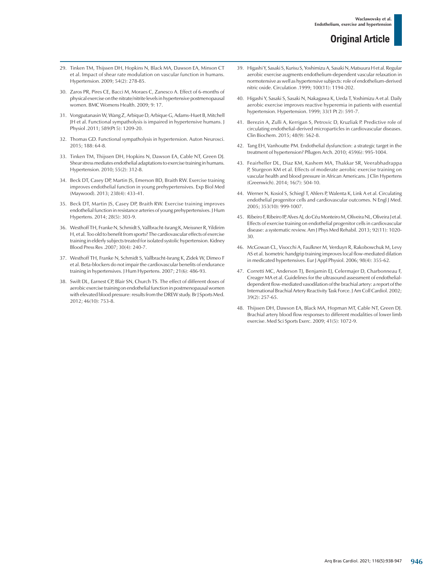- 29. Tinken TM, Thijssen DH, Hopkins N, Black MA, Dawson EA, Minson CT et al. Impact of shear rate modulation on vascular function in humans. Hypertension. 2009; 54(2): 278-85.
- 30. Zaros PR, Pires CE, Bacci M, Moraes C, Zanesco A. Effect of 6-months of physical exercise on the nitrate/nitrite levels in hypertensive postmenopausal women. BMC Womens Health. 2009; 9: 17.
- 31. Vongpatanasin W, Wang Z, Arbique D, Arbique G, Adams-Huet B, Mitchell JH et al. Functional sympatholysis is impaired in hypertensive humans. J Physiol .2011; 589(Pt 5): 1209-20.
- 32. Thomas GD. Functional sympatholysis in hypertension. Auton Neurosci. 2015; 188: 64-8.
- 33. Tinken TM, Thijssen DH, Hopkins N, Dawson EA, Cable NT, Green DJ. Shear stress mediates endothelial adaptations to exercise training in humans. Hypertension. 2010; 55(2): 312-8.
- 34. Beck DT, Casey DP, Martin JS, Emerson BD, Braith RW. Exercise training improves endothelial function in young prehypertensives. Exp Biol Med (Maywood). 2013; 238(4): 433-41.
- 35. Beck DT, Martin JS, Casey DP, Braith RW. Exercise training improves endothelial function in resistance arteries of young prehypertensives. J Hum Hypertens. 2014; 28(5): 303-9.
- 36. Westhoff TH, Franke N, Schmidt S, Vallbracht-Israng K, Meissner R, Yildirim H, et al. Too old to benefit from sports? The cardiovascular effects of exercise training in elderly subjects treated for isolated systolic hypertension. Kidney Blood Press Res .2007; 30(4): 240-7.
- 37. Westhoff TH, Franke N, Schmidt S, Vallbracht-Israng K, Zidek W, Dimeo F et al. Beta-blockers do not impair the cardiovascular benefits of endurance training in hypertensives. J Hum Hypertens. 2007; 21(6): 486-93.
- 38. Swift DL, Earnest CP, Blair SN, Church TS. The effect of different doses of aerobic exercise training on endothelial function in postmenopausal women with elevated blood pressure: results from the DREW study. Br J Sports Med. 2012; 46(10): 753-8.
- 39. Higashi Y, Sasaki S, Kurisu S, Yoshimizu A, Sasaki N, Matsuura H et al. Regular aerobic exercise augments endothelium-dependent vascular relaxation in normotensive as well as hypertensive subjects: role of endothelium-derived nitric oxide. Circulation .1999; 100(11): 1194-202.
- 40. Higashi Y, Sasaki S, Sasaki N, Nakagawa K, Ueda T, Yoshimizu A et al. Daily aerobic exercise improves reactive hyperemia in patients with essential hypertension. Hypertension. 1999; 33(1 Pt 2): 591-7.
- 41. Berezin A, Zulli A, Kerrigan S, Petrovic D, Kruzliak P. Predictive role of circulating endothelial-derived microparticles in cardiovascular diseases. Clin Biochem. 2015; 48(9): 562-8.
- 42. Tang EH, Vanhoutte PM. Endothelial dysfunction: a strategic target in the treatment of hypertension? Pflugers Arch. 2010; 459(6): 995-1004.
- 43. Feairheller DL, Diaz KM, Kashem MA, Thakkar SR, Veerabhadrappa P, Sturgeon KM et al. Effects of moderate aerobic exercise training on vascular health and blood pressure in African Americans. J Clin Hypertens (Greenwich). 2014; 16(7): 504-10.
- 44. Werner N, Kosiol S, Schiegl T, Ahlers P, Walenta K, Link A et al. Circulating endothelial progenitor cells and cardiovascular outcomes. N Engl J Med. 2005; 353(10): 999-1007.
- 45. Ribeiro F, Ribeiro IP, Alves AJ, do Céu Monteiro M, Oliveira NL, Oliveira J et al. Effects of exercise training on endothelial progenitor cells in cardiovascular disease: a systematic review. Am J Phys Med Rehabil. 2013; 92(11): 1020- 30.
- 46. McGowan CL, Visocchi A, Faulkner M, Verduyn R, Rakobowchuk M, Levy AS et al. Isometric handgrip training improves local flow-mediated dilation in medicated hypertensives. Eur J Appl Physiol. 2006; 98(4): 355-62.
- 47. Corretti MC, Anderson TJ, Benjamin EJ, Celermajer D, Charbonneau F, Creager MA et al. Guidelines for the ultrasound assessment of endothelialdependent flow-mediated vasodilation of the brachial artery: a report of the International Brachial Artery Reactivity Task Force. J Am Coll Cardiol. 2002; 39(2): 257-65.
- 48. Thijssen DH, Dawson EA, Black MA, Hopman MT, Cable NT, Green DJ. Brachial artery blood flow responses to different modalities of lower limb exercise. Med Sci Sports Exerc. 2009; 41(5): 1072-9.